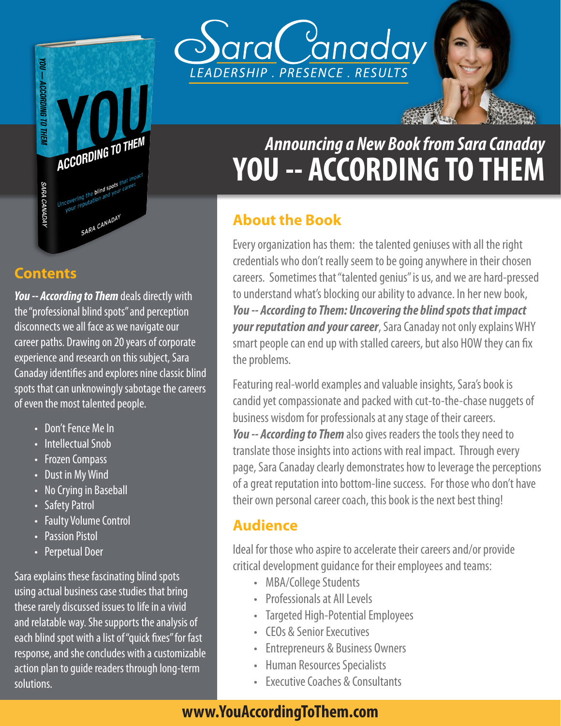

#### **Contents**

*You -- According to Them* deals directly with the "professional blind spots" and perception disconnects we all face as we navigate our career paths. Drawing on 20 years of corporate experience and research on this subject, Sara Canaday identifies and explores nine classic blind spots that can unknowingly sabotage the careers of even the most talented people.

- Don't Fence Me In
- Intellectual Snob
- Frozen Compass
- Dust in My Wind
- No Crying in Baseball
- **Safety Patrol**
- **Faulty Volume Control**
- Passion Pistol
- Perpetual Doer

Sara explains these fascinating blind spots using actual business case studies that bring these rarely discussed issues to life in a vivid and relatable way. She supports the analysis of each blind spot with a list of "quick fixes" for fast response, and she concludes with a customizable action plan to guide readers through long-term solutions.



# **YOU -- ACCORDING TO THEM** *Announcing a New Book from Sara Canaday*

# **About the Book**

Every organization has them: the talented geniuses with all the right credentials who don't really seem to be going anywhere in their chosen careers. Sometimes that "talented genius" is us, and we are hard-pressed to understand what's blocking our ability to advance. In her new book, *You -- According to Them: Uncovering the blind spots that impact your reputation and your career*, Sara Canaday not only explains WHY smart people can end up with stalled careers, but also HOW they can fix the problems.

Featuring real-world examples and valuable insights, Sara's book is candid yet compassionate and packed with cut-to-the-chase nuggets of business wisdom for professionals at any stage of their careers. *You -- According to Them* also gives readers the tools they need to translate those insights into actions with real impact. Through every page, Sara Canaday clearly demonstrates how to leverage the perceptions of a great reputation into bottom-line success. For those who don't have their own personal career coach, this book is the next best thing!

### **Audience**

Ideal for those who aspire to accelerate their careers and/or provide critical development guidance for their employees and teams:

- MBA/College Students
- Professionals at All Levels
- Targeted High-Potential Employees
- CEOs & Senior Executives
- Entrepreneurs & Business Owners
- Human Resources Specialists
- Executive Coaches & Consultants

# **www.YouAccordingToThem.com**